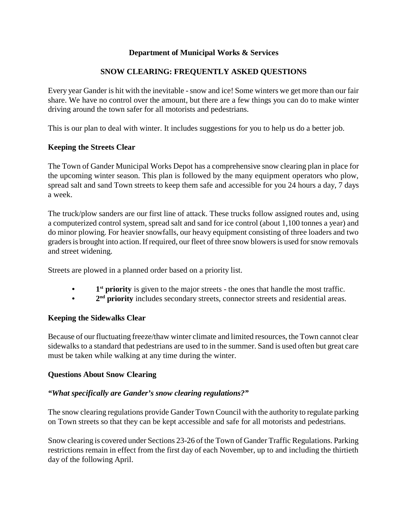# **Department of Municipal Works & Services**

# **SNOW CLEARING: FREQUENTLY ASKED QUESTIONS**

Every year Gander is hit with the inevitable - snow and ice! Some winters we get more than our fair share. We have no control over the amount, but there are a few things you can do to make winter driving around the town safer for all motorists and pedestrians.

This is our plan to deal with winter. It includes suggestions for you to help us do a better job.

# **Keeping the Streets Clear**

The Town of Gander Municipal Works Depot has a comprehensive snow clearing plan in place for the upcoming winter season. This plan is followed by the many equipment operators who plow, spread salt and sand Town streets to keep them safe and accessible for you 24 hours a day, 7 days a week.

The truck/plow sanders are our first line of attack. These trucks follow assigned routes and, using a computerized control system, spread salt and sand for ice control (about 1,100 tonnes a year) and do minor plowing. For heavier snowfalls, our heavy equipment consisting of three loaders and two graders is brought into action.If required, our fleet of three snow blowers is used for snow removals and street widening.

Streets are plowed in a planned order based on a priority list.

- **1**<sup>st</sup> priority is given to the major streets the ones that handle the most traffic.
- **2<sup>nd</sup> priority** includes secondary streets, connector streets and residential areas.

# **Keeping the Sidewalks Clear**

Because of our fluctuating freeze/thaw winter climate and limited resources, the Town cannot clear sidewalks to a standard that pedestrians are used to in the summer. Sand is used often but great care must be taken while walking at any time during the winter.

# **Questions About Snow Clearing**

# *"What specifically are Gander's snow clearing regulations?"*

The snow clearing regulations provide Gander Town Council with the authority to regulate parking on Town streets so that they can be kept accessible and safe for all motorists and pedestrians.

Snow clearing is covered under Sections 23-26 of the Town of Gander Traffic Regulations. Parking restrictions remain in effect from the first day of each November, up to and including the thirtieth day of the following April.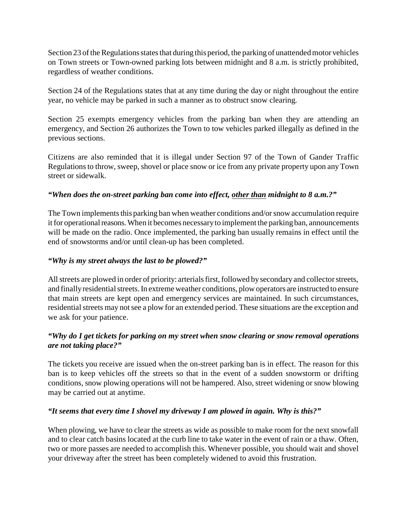Section 23 of the Regulations states that during this period, the parking of unattended motor vehicles on Town streets or Town-owned parking lots between midnight and 8 a.m. is strictly prohibited, regardless of weather conditions.

Section 24 of the Regulations states that at any time during the day or night throughout the entire year, no vehicle may be parked in such a manner as to obstruct snow clearing.

Section 25 exempts emergency vehicles from the parking ban when they are attending an emergency, and Section 26 authorizes the Town to tow vehicles parked illegally as defined in the previous sections.

Citizens are also reminded that it is illegal under Section 97 of the Town of Gander Traffic Regulations to throw, sweep, shovel or place snow or ice from any private property upon any Town street or sidewalk.

# *"When does the on-street parking ban come into effect, other than midnight to 8 a.m.?"*

The Town implements this parking ban when weather conditions and/or snow accumulation require it for operational reasons. When it becomes necessary to implement the parking ban, announcements will be made on the radio. Once implemented, the parking ban usually remains in effect until the end of snowstorms and/or until clean-up has been completed.

### *"Why is my street always the last to be plowed?"*

All streets are plowed in order of priority: arterials first, followed by secondary and collector streets, and finally residential streets. In extreme weather conditions, plow operators are instructed to ensure that main streets are kept open and emergency services are maintained. In such circumstances, residential streets may not see a plow for an extended period. These situations are the exception and we ask for your patience.

# *"Why do I get tickets for parking on my street when snow clearing or snow removal operations are not taking place?"*

The tickets you receive are issued when the on-street parking ban is in effect. The reason for this ban is to keep vehicles off the streets so that in the event of a sudden snowstorm or drifting conditions, snow plowing operations will not be hampered. Also, street widening or snow blowing may be carried out at anytime.

# *"It seems that every time I shovel my driveway I am plowed in again. Why is this?"*

When plowing, we have to clear the streets as wide as possible to make room for the next snowfall and to clear catch basins located at the curb line to take water in the event of rain or a thaw. Often, two or more passes are needed to accomplish this. Whenever possible, you should wait and shovel your driveway after the street has been completely widened to avoid this frustration.